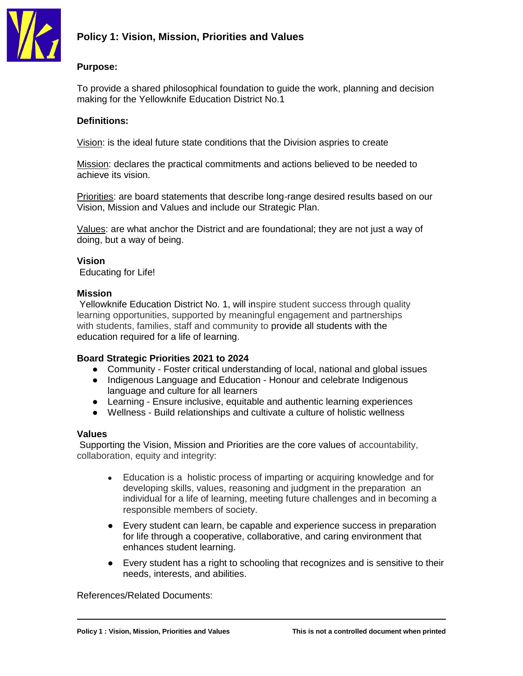

# **Policy 1: Vision, Mission, Priorities and Values**

## **Purpose:**

To provide a shared philosophical foundation to guide the work, planning and decision making for the Yellowknife Education District No.1

## **Definitions:**

Vision: is the ideal future state conditions that the Division aspries to create

Mission: declares the practical commitments and actions believed to be needed to achieve its vision.

Priorities: are board statements that describe long-range desired results based on our Vision, Mission and Values and include our Strategic Plan.

Values: are what anchor the District and are foundational; they are not just a way of doing, but a way of being.

# **Vision**

Educating for Life!

### **Mission**

Yellowknife Education District No. 1, will inspire student success through quality learning opportunities, supported by meaningful engagement and partnerships with students, families, staff and community to provide all students with the education required for a life of learning.

### **Board Strategic Priorities 2021 to 2024**

- Community Foster critical understanding of local, national and global issues
- Indigenous Language and Education Honour and celebrate Indigenous language and culture for all learners
- Learning Ensure inclusive, equitable and authentic learning experiences
- Wellness Build relationships and cultivate a culture of holistic wellness

### **Values**

Supporting the Vision, Mission and Priorities are the core values of accountability, collaboration, equity and integrity:

- Education is a holistic process of imparting or acquiring knowledge and for developing skills, values, reasoning and judgment in the preparation an individual for a life of learning, meeting future challenges and in becoming a responsible members of society.
- Every student can learn, be capable and experience success in preparation for life through a cooperative, collaborative, and caring environment that enhances student learning.
- Every student has a right to schooling that recognizes and is sensitive to their needs, interests, and abilities.

References/Related Documents: